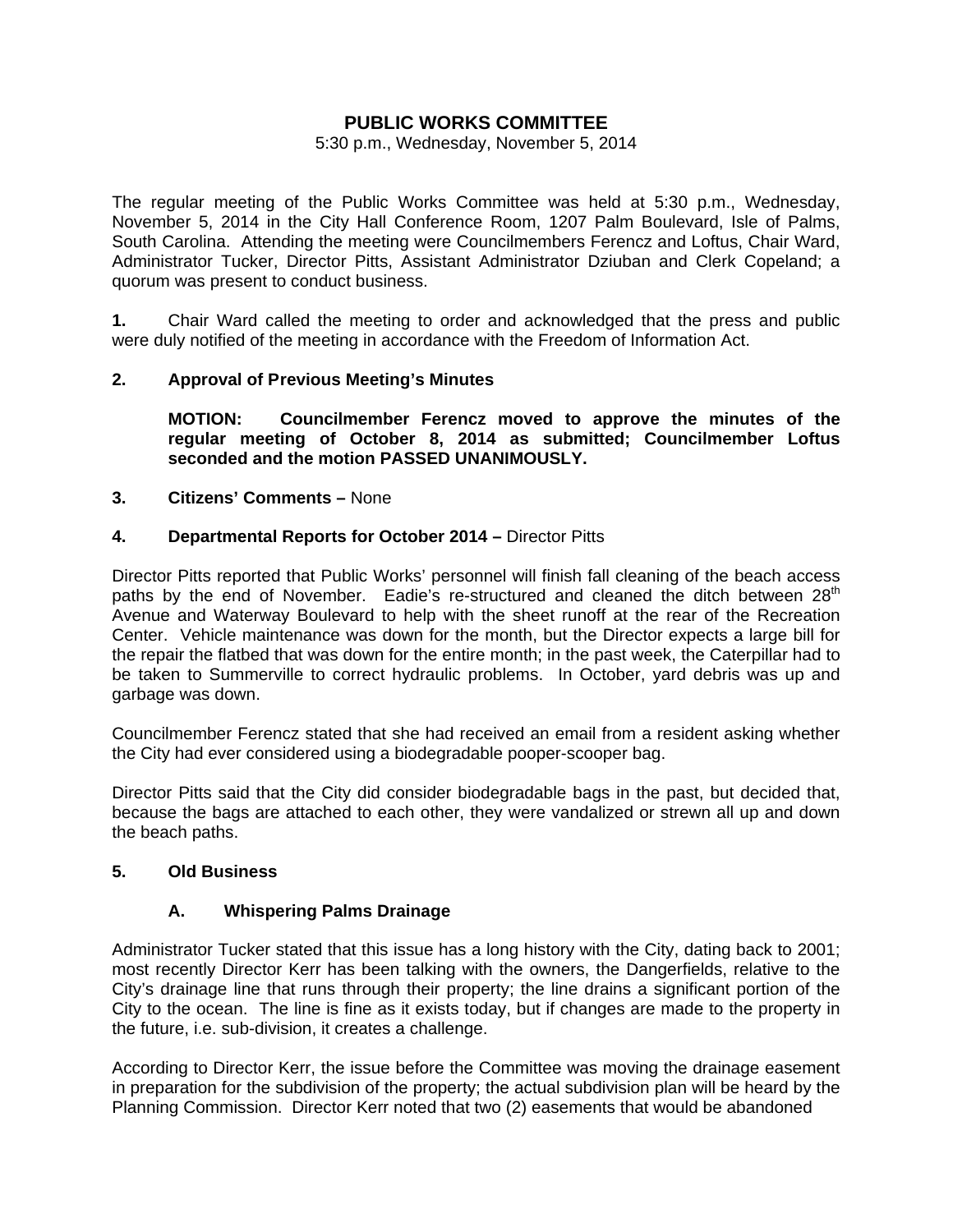# **PUBLIC WORKS COMMITTEE**

#### 5:30 p.m., Wednesday, November 5, 2014

The regular meeting of the Public Works Committee was held at 5:30 p.m., Wednesday, November 5, 2014 in the City Hall Conference Room, 1207 Palm Boulevard, Isle of Palms, South Carolina. Attending the meeting were Councilmembers Ferencz and Loftus, Chair Ward, Administrator Tucker, Director Pitts, Assistant Administrator Dziuban and Clerk Copeland; a quorum was present to conduct business.

**1.** Chair Ward called the meeting to order and acknowledged that the press and public were duly notified of the meeting in accordance with the Freedom of Information Act.

# **2. Approval of P revious Meeting's Minutes**

 **MOTION: Councilmember Ferencz moved to approve the minutes of the regular meeting of October 8, 2014 as submitted; Councilmember Loftus seconded and the motion PASSED UNANIMOUSLY.** 

#### **3. Citizens' Comments –** None

# **4. Departmental Reports for October 2014 –** Director Pitts

Director Pitts reported that Public Works' personnel will finish fall cleaning of the beach access paths by the end of November. Eadie's re-structured and cleaned the ditch between 28<sup>th</sup> Avenue and Waterway Boulevard to help with the sheet runoff at the rear of the Recreation Center. Vehicle maintenance was down for the month, but the Director expects a large bill for the repair the flatbed that was down for the entire month; in the past week, the Caterpillar had to be taken to Summerville to correct hydraulic problems. In October, yard debris was up and garbage was down.

Councilmember Ferencz stated that she had received an email from a resident asking whether the City had ever considered using a biodegradable pooper-scooper bag.

Director Pitts said that the City did consider biodegradable bags in the past, but decided that, because the bags are attached to each other, they were vandalized or strewn all up and down the beach paths.

#### **5. Old Business**

#### **A. Whispering Palms Drainage**

Administrator Tucker stated that this issue has a long history with the City, dating back to 2001; most recently Director Kerr has been talking with the owners, the Dangerfields, relative to the City's drainage line that runs through their property; the line drains a significant portion of the City to the ocean. The line is fine as it exists today, but if changes are made to the property in the future, i.e. sub-division, it creates a challenge.

According to Director Kerr, the issue before the Committee was moving the drainage easement in preparation for the subdivision of the property; the actual subdivision plan will be heard by the Planning Commission. Director Kerr noted that two (2) easements that would be abandoned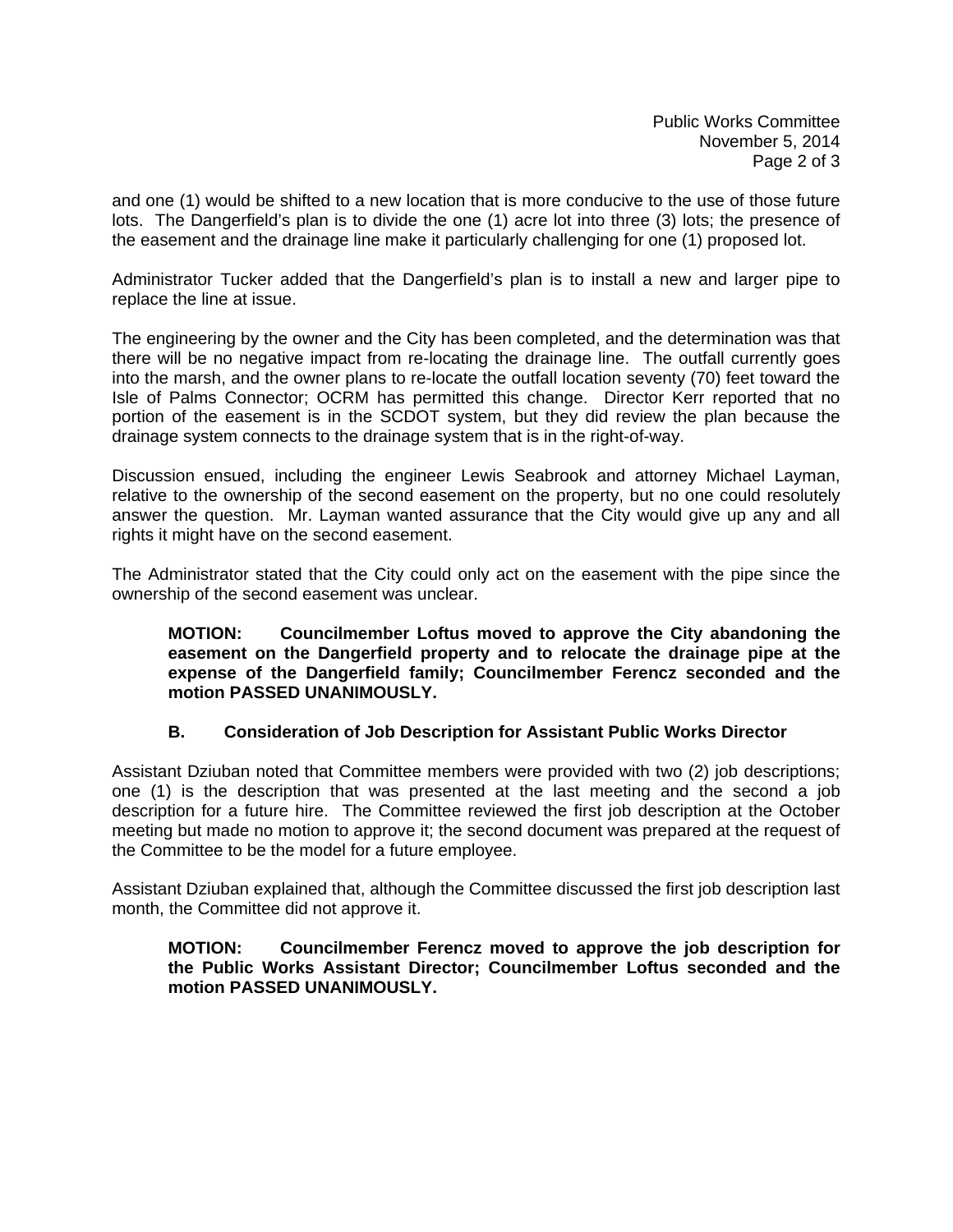Public Works Committee November 5, 2014 Page 2 of 3

and one (1) would be shifted to a new location that is more conducive to the use of those future lots. The Dangerfield's plan is to divide the one (1) acre lot into three (3) lots; the presence of the easement and the drainage line make it particularly challenging for one (1) proposed lot.

Administrator Tucker added that the Dangerfield's plan is to install a new and larger pipe to replace the line at issue.

The engineering by the owner and the City has been completed, and the determination was that there will be no negative impact from re-locating the drainage line. The outfall currently goes into the marsh, and the owner plans to re-locate the outfall location seventy (70) feet toward the Isle of Palms Connector; OCRM has permitted this change. Director Kerr reported that no portion of the easement is in the SCDOT system, but they did review the plan because the drainage system connects to the drainage system that is in the right-of-way.

Discussion ensued, including the engineer Lewis Seabrook and attorney Michael Layman, relative to the ownership of the second easement on the property, but no one could resolutely answer the question. Mr. Layman wanted assurance that the City would give up any and all rights it might have on the second easement.

The Administrator stated that the City could only act on the easement with the pipe since the ownership of the second easement was unclear.

 **MOTION: Councilmember Loftus moved to approve the City abandoning the easement on the Dangerfield property and to relocate the drainage pipe at the expense of the Dangerfield family; Councilmember Ferencz seconded and the motion PASSED UNANIMOUSLY.** 

# **B. Consideration of Job Description for Assistant Public Works Director**

Assistant Dziuban noted that Committee members were provided with two (2) job descriptions; one (1) is the description that was presented at the last meeting and the second a job description for a future hire. The Committee reviewed the first job description at the October meeting but made no motion to approve it; the second document was prepared at the request of the Committee to be the model for a future employee.

Assistant Dziuban explained that, although the Committee discussed the first job description last month, the Committee did not approve it.

## **MOTION: Councilmember Ferencz moved to approve the job description for the Public Works Assistant Director; Councilmember Loftus seconded and the motion PASSED UNANIMOUSLY.**